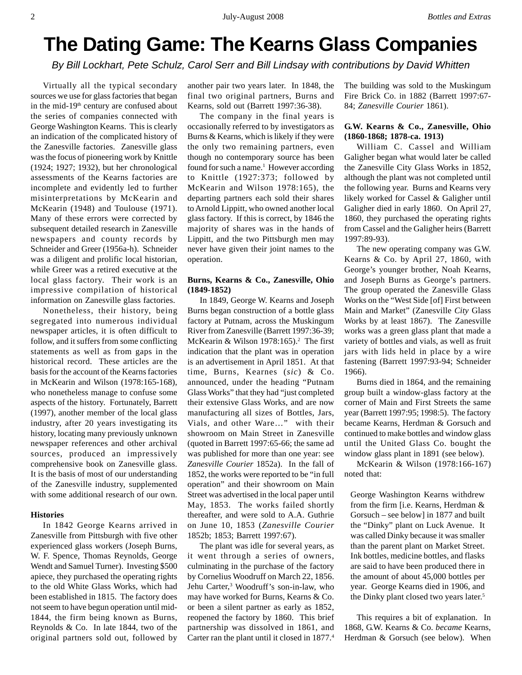# **The Dating Game: The Kearns Glass Companies**

*By Bill Lockhart, Pete Schulz, Carol Serr and Bill Lindsay with contributions by David Whitten*

Virtually all the typical secondary sources we use for glass factories that began in the mid-19<sup>th</sup> century are confused about the series of companies connected with George Washington Kearns. This is clearly an indication of the complicated history of the Zanesville factories. Zanesville glass was the focus of pioneering work by Knittle (1924; 1927; 1932), but her chronological assessments of the Kearns factories are incomplete and evidently led to further misinterpretations by McKearin and McKearin (1948) and Toulouse (1971). Many of these errors were corrected by subsequent detailed research in Zanesville newspapers and county records by Schneider and Greer (1956a-h). Schneider was a diligent and prolific local historian, while Greer was a retired executive at the local glass factory. Their work is an impressive compilation of historical information on Zanesville glass factories.

Nonetheless, their history, being segregated into numerous individual newspaper articles, it is often difficult to follow, and it suffers from some conflicting statements as well as from gaps in the historical record. These articles are the basis for the account of the Kearns factories in McKearin and Wilson (1978:165-168), who nonetheless manage to confuse some aspects of the history. Fortunately, Barrett (1997), another member of the local glass industry, after 20 years investigating its history, locating many previously unknown newspaper references and other archival sources, produced an impressively comprehensive book on Zanesville glass. It is the basis of most of our understanding of the Zanesville industry, supplemented with some additional research of our own.

#### **Histories**

In 1842 George Kearns arrived in Zanesville from Pittsburgh with five other experienced glass workers (Joseph Burns, W. F. Spence, Thomas Reynolds, George Wendt and Samuel Turner). Investing \$500 apiece, they purchased the operating rights to the old White Glass Works, which had been established in 1815. The factory does not seem to have begun operation until mid-1844, the firm being known as Burns, Reynolds & Co. In late 1844, two of the original partners sold out, followed by

another pair two years later. In 1848, the final two original partners, Burns and Kearns, sold out (Barrett 1997:36-38).

The company in the final years is occasionally referred to by investigators as Burns & Kearns, which is likely if they were the only two remaining partners, even though no contemporary source has been found for such a name.<sup>1</sup> However according to Knittle (1927:373; followed by McKearin and Wilson 1978:165), the departing partners each sold their shares to Arnold Lippitt, who owned another local glass factory. If this is correct, by 1846 the majority of shares was in the hands of Lippitt, and the two Pittsburgh men may never have given their joint names to the operation.

## **Burns, Kearns & Co., Zanesville, Ohio (1849-1852)**

In 1849, George W. Kearns and Joseph Burns began construction of a bottle glass factory at Putnam, across the Muskingum River from Zanesville (Barrett 1997:36-39; McKearin & Wilson 1978:165).<sup>2</sup> The first indication that the plant was in operation is an advertisement in April 1851. At that time, Burns, Kearnes (*sic*) & Co. announced, under the heading "Putnam Glass Works" that they had "just completed their extensive Glass Works, and are now manufacturing all sizes of Bottles, Jars, Vials, and other Ware…" with their showroom on Main Street in Zanesville (quoted in Barrett 1997:65-66; the same ad was published for more than one year: see *Zanesville Courier* 1852a). In the fall of 1852, the works were reported to be "in full operation" and their showroom on Main Street was advertised in the local paper until May, 1853. The works failed shortly thereafter, and were sold to A.A. Guthrie on June 10, 1853 (*Zanesville Courier* 1852b; 1853; Barrett 1997:67).

The plant was idle for several years, as it went through a series of owners, culminating in the purchase of the factory by Cornelius Woodruff on March 22, 1856. Jehu Carter,3 Woodruff's son-in-law, who may have worked for Burns, Kearns & Co. or been a silent partner as early as 1852, reopened the factory by 1860. This brief partnership was dissolved in 1861, and Carter ran the plant until it closed in 1877.4

The building was sold to the Muskingum Fire Brick Co. in 1882 (Barrett 1997:67- 84; *Zanesville Courier* 1861).

# **G.W. Kearns & Co., Zanesville, Ohio (1860-1868; 1878-ca. 1913)**

William C. Cassel and William Galigher began what would later be called the Zanesville City Glass Works in 1852, although the plant was not completed until the following year. Burns and Kearns very likely worked for Cassel & Galigher until Galigher died in early 1860. On April 27, 1860, they purchased the operating rights from Cassel and the Galigher heirs (Barrett 1997:89-93).

The new operating company was G.W. Kearns & Co. by April 27, 1860, with George's younger brother, Noah Kearns, and Joseph Burns as George's partners. The group operated the Zanesville Glass Works on the "West Side [of] First between Main and Market" (Zanesville *City* Glass Works by at least 1867). The Zanesville works was a green glass plant that made a variety of bottles and vials, as well as fruit jars with lids held in place by a wire fastening (Barrett 1997:93-94; Schneider 1966).

Burns died in 1864, and the remaining group built a window-glass factory at the corner of Main and First Streets the same year (Barrett 1997:95; 1998:5). The factory became Kearns, Herdman & Gorsuch and continued to make bottles and window glass until the United Glass Co. bought the window glass plant in 1891 (see below).

McKearin & Wilson (1978:166-167) noted that:

George Washington Kearns withdrew from the firm [i.e. Kearns, Herdman & Gorsuch – see below] in 1877 and built the "Dinky" plant on Luck Avenue. It was called Dinky because it was smaller than the parent plant on Market Street. Ink bottles, medicine bottles, and flasks are said to have been produced there in the amount of about 45,000 bottles per year. George Kearns died in 1906, and the Dinky plant closed two years later.<sup>5</sup>

This requires a bit of explanation. In 1868, G.W. Kearns & Co. *became* Kearns, Herdman & Gorsuch (see below). When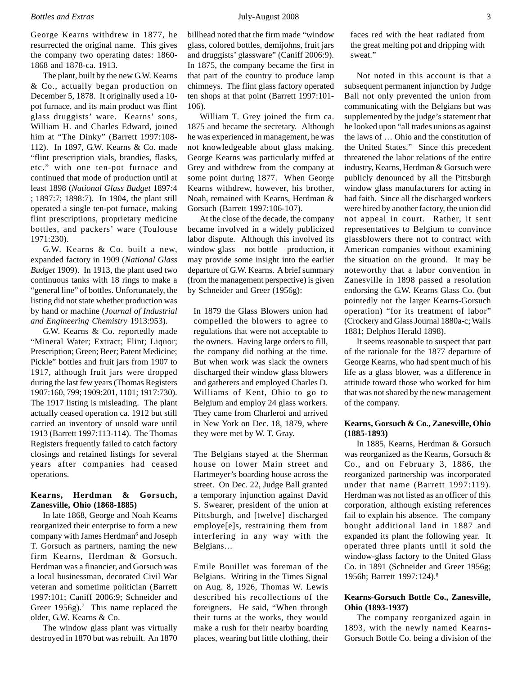George Kearns withdrew in 1877, he resurrected the original name. This gives the company two operating dates: 1860- 1868 and 1878-ca. 1913.

The plant, built by the new G.W. Kearns & Co., actually began production on December 5, 1878. It originally used a 10 pot furnace, and its main product was flint glass druggists' ware. Kearns' sons, William H. and Charles Edward, joined him at "The Dinky" (Barrett 1997:108- 112). In 1897, G.W. Kearns & Co. made "flint prescription vials, brandies, flasks, etc." with one ten-pot furnace and continued that mode of production until at least 1898 (*National Glass Budget* 1897:4 ; 1897:7; 1898:7). In 1904, the plant still operated a single ten-pot furnace, making flint prescriptions, proprietary medicine bottles, and packers' ware (Toulouse 1971:230).

G.W. Kearns & Co. built a new, expanded factory in 1909 (*National Glass Budget* 1909). In 1913, the plant used two continuous tanks with 18 rings to make a "general line" of bottles. Unfortunately, the listing did not state whether production was by hand or machine (*Journal of Industrial and Engineering Chemistry* 1913:953).

G.W. Kearns & Co. reportedly made "Mineral Water; Extract; Flint; Liquor; Prescription; Green; Beer; Patent Medicine; Pickle" bottles and fruit jars from 1907 to 1917, although fruit jars were dropped during the last few years (Thomas Registers 1907:160, 799; 1909:201, 1101; 1917:730). The 1917 listing is misleading. The plant actually ceased operation ca. 1912 but still carried an inventory of unsold ware until 1913 (Barrett 1997:113-114). The Thomas Registers frequently failed to catch factory closings and retained listings for several years after companies had ceased operations.

# **Kearns, Herdman & Gorsuch, Zanesville, Ohio (1868-1885)**

In late 1868, George and Noah Kearns reorganized their enterprise to form a new company with James Herdman<sup>6</sup> and Joseph T. Gorsuch as partners, naming the new firm Kearns, Herdman & Gorsuch. Herdman was a financier, and Gorsuch was a local businessman, decorated Civil War veteran and sometime politician (Barrett 1997:101; Caniff 2006:9; Schneider and Greer  $1956g$ ).<sup>7</sup> This name replaced the older, G.W. Kearns & Co.

The window glass plant was virtually destroyed in 1870 but was rebuilt. An 1870

William T. Grey joined the firm ca. 1875 and became the secretary. Although he was experienced in management, he was not knowledgeable about glass making. George Kearns was particularly miffed at Grey and withdrew from the company at some point during 1877. When George Kearns withdrew, however, his brother, Noah, remained with Kearns, Herdman & Gorsuch (Barrett 1997:106-107).

At the close of the decade, the company became involved in a widely publicized labor dispute. Although this involved its window glass – not bottle – production, it may provide some insight into the earlier departure of G.W. Kearns. A brief summary (from the management perspective) is given by Schneider and Greer (1956g):

In 1879 the Glass Blowers union had compelled the blowers to agree to regulations that were not acceptable to the owners. Having large orders to fill, the company did nothing at the time. But when work was slack the owners discharged their window glass blowers and gatherers and employed Charles D. Williams of Kent, Ohio to go to Belgium and employ 24 glass workers. They came from Charleroi and arrived in New York on Dec. 18, 1879, where they were met by W. T. Gray.

The Belgians stayed at the Sherman house on lower Main street and Hartmeyer's boarding house across the street. On Dec. 22, Judge Ball granted a temporary injunction against David S. Swearer, president of the union at Pittsburgh, and [twelve] discharged employe[e]s, restraining them from interfering in any way with the Belgians…

Emile Bouillet was foreman of the Belgians. Writing in the Times Signal on Aug. 8, 1926, Thomas W. Lewis described his recollections of the foreigners. He said, "When through their turns at the works, they would make a rush for their nearby boarding places, wearing but little clothing, their faces red with the heat radiated from the great melting pot and dripping with sweat."

Not noted in this account is that a subsequent permanent injunction by Judge Ball not only prevented the union from communicating with the Belgians but was supplemented by the judge's statement that he looked upon "all trades unions as against the laws of … Ohio and the constitution of the United States." Since this precedent threatened the labor relations of the entire industry, Kearns, Herdman & Gorsuch were publicly denounced by all the Pittsburgh window glass manufacturers for acting in bad faith. Since all the discharged workers were hired by another factory, the union did not appeal in court. Rather, it sent representatives to Belgium to convince glassblowers there not to contract with American companies without examining the situation on the ground. It may be noteworthy that a labor convention in Zanesville in 1898 passed a resolution endorsing the G.W. Kearns Glass Co. (but pointedly not the larger Kearns-Gorsuch operation) "for its treatment of labor" (Crockery and Glass Journal 1880a-c; Walls 1881; Delphos Herald 1898).

It seems reasonable to suspect that part of the rationale for the 1877 departure of George Kearns, who had spent much of his life as a glass blower, was a difference in attitude toward those who worked for him that was not shared by the new management of the company.

# **Kearns, Gorsuch & Co., Zanesville, Ohio (1885-1893)**

In 1885, Kearns, Herdman & Gorsuch was reorganized as the Kearns, Gorsuch & Co., and on February 3, 1886, the reorganized partnership was incorporated under that name (Barrett 1997:119). Herdman was not listed as an officer of this corporation, although existing references fail to explain his absence. The company bought additional land in 1887 and expanded its plant the following year. It operated three plants until it sold the window-glass factory to the United Glass Co. in 1891 (Schneider and Greer 1956g; 1956h; Barrett 1997:124).8

# **Kearns-Gorsuch Bottle Co., Zanesville, Ohio (1893-1937)**

The company reorganized again in 1893, with the newly named Kearns-Gorsuch Bottle Co. being a division of the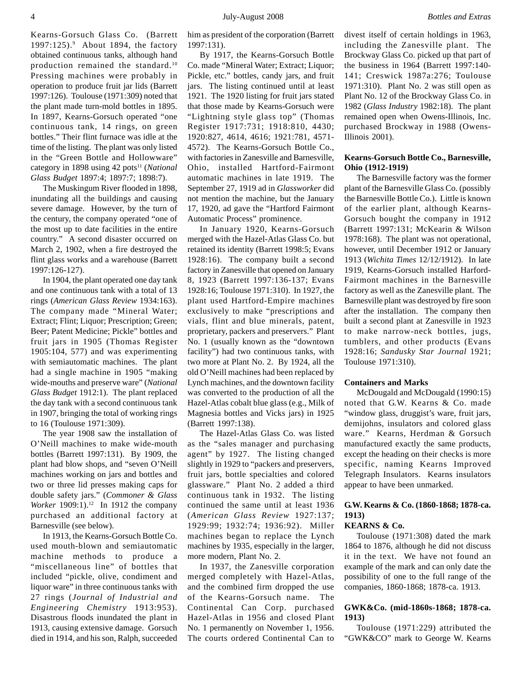him as president of the corporation (Barrett 1997:131). By 1917, the Kearns-Gorsuch Bottle

Co. made "Mineral Water; Extract; Liquor; Pickle, etc." bottles, candy jars, and fruit jars. The listing continued until at least 1921. The 1920 listing for fruit jars stated that those made by Kearns-Gorsuch were "Lightning style glass top" (Thomas Register 1917:731; 1918:810, 4430; 1920:827, 4614, 4616; 1921:781, 4571- 4572). The Kearns-Gorsuch Bottle Co., with factories in Zanesville and Barnesville, Ohio, installed Hartford-Fairmont automatic machines in late 1919. The September 27, 1919 ad in *Glassworker* did not mention the machine, but the January 17, 1920, ad gave the "Hartford Fairmont Automatic Process" prominence.

In January 1920, Kearns-Gorsuch merged with the Hazel-Atlas Glass Co. but retained its identity (Barrett 1998:5; Evans 1928:16). The company built a second factory in Zanesville that opened on January 8, 1923 (Barrett 1997:136-137; Evans 1928:16; Toulouse 1971:310). In 1927, the plant used Hartford-Empire machines exclusively to make "prescriptions and vials, flint and blue minerals, patent, proprietary, packers and preservers." Plant No. 1 (usually known as the "downtown facility") had two continuous tanks, with two more at Plant No. 2. By 1924, all the old O'Neill machines had been replaced by Lynch machines, and the downtown facility was converted to the production of all the Hazel-Atlas cobalt blue glass (e.g., Milk of Magnesia bottles and Vicks jars) in 1925 (Barrett 1997:138).

The Hazel-Atlas Glass Co. was listed as the "sales manager and purchasing agent" by 1927. The listing changed slightly in 1929 to "packers and preservers, fruit jars, bottle specialties and colored glassware." Plant No. 2 added a third continuous tank in 1932. The listing continued the same until at least 1936 (*American Glass Review* 1927:137; 1929:99; 1932:74; 1936:92). Miller machines began to replace the Lynch machines by 1935, especially in the larger, more modern, Plant No. 2.

In 1937, the Zanesville corporation merged completely with Hazel-Atlas, and the combined firm dropped the use of the Kearns-Gorsuch name. The Continental Can Corp. purchased Hazel-Atlas in 1956 and closed Plant No. 1 permanently on November 1, 1956. The courts ordered Continental Can to divest itself of certain holdings in 1963, including the Zanesville plant. The Brockway Glass Co. picked up that part of the business in 1964 (Barrett 1997:140- 141; Creswick 1987a:276; Toulouse 1971:310). Plant No. 2 was still open as Plant No. 12 of the Brockway Glass Co. in 1982 (*Glass Industry* 1982:18). The plant remained open when Owens-Illinois, Inc. purchased Brockway in 1988 (Owens-Illinois 2001).

#### **Kearns-Gorsuch Bottle Co., Barnesville, Ohio (1912-1919)**

The Barnesville factory was the former plant of the Barnesville Glass Co. (possibly the Barnesville Bottle Co.). Little is known of the earlier plant, although Kearns-Gorsuch bought the company in 1912 (Barrett 1997:131; McKearin & Wilson 1978:168). The plant was not operational, however, until December 1912 or January 1913 (*Wichita Times* 12/12/1912). In late 1919, Kearns-Gorsuch installed Harford-Fairmont machines in the Barnesville factory as well as the Zanesville plant. The Barnesville plant was destroyed by fire soon after the installation. The company then built a second plant at Zanesville in 1923 to make narrow-neck bottles, jugs, tumblers, and other products (Evans 1928:16; *Sandusky Star Journal* 1921; Toulouse 1971:310).

#### **Containers and Marks**

McDougald and McDougald (1990:15) noted that G.W. Kearns & Co. made "window glass, druggist's ware, fruit jars, demijohns, insulators and colored glass ware." Kearns, Herdman & Gorsuch manufactured exactly the same products, except the heading on their checks is more specific, naming Kearns Improved Telegraph Insulators. Kearns insulators appear to have been unmarked.

# **G.W. Kearns & Co. (1860-1868; 1878-ca. 1913)**

# **KEARNS & Co.**

Toulouse (1971:308) dated the mark 1864 to 1876, although he did not discuss it in the text. We have not found an example of the mark and can only date the possibility of one to the full range of the companies, 1860-1868; 1878-ca. 1913.

#### **GWK&Co. (mid-1860s-1868; 1878-ca. 1913)**

Toulouse (1971:229) attributed the "GWK&CO" mark to George W. Kearns

Kearns-Gorsuch Glass Co. (Barrett 1997:125).<sup>9</sup> About 1894, the factory obtained continuous tanks, although hand production remained the standard.10 Pressing machines were probably in operation to produce fruit jar lids (Barrett 1997:126). Toulouse (1971:309) noted that the plant made turn-mold bottles in 1895. In 1897, Kearns-Gorsuch operated "one continuous tank, 14 rings, on green bottles." Their flint furnace was idle at the time of the listing. The plant was only listed in the "Green Bottle and Hollowware" category in 1898 using 42 pots<sup>11</sup> (*National Glass Budget* 1897:4; 1897:7; 1898:7).

The Muskingum River flooded in 1898, inundating all the buildings and causing severe damage. However, by the turn of the century, the company operated "one of the most up to date facilities in the entire country." A second disaster occurred on March 2, 1902, when a fire destroyed the flint glass works and a warehouse (Barrett 1997:126-127).

In 1904, the plant operated one day tank and one continuous tank with a total of 13 rings (*American Glass Review* 1934:163). The company made "Mineral Water; Extract; Flint; Liquor; Prescription; Green; Beer; Patent Medicine; Pickle" bottles and fruit jars in 1905 (Thomas Register 1905:104, 577) and was experimenting with semiautomatic machines. The plant had a single machine in 1905 "making wide-mouths and preserve ware" (*National Glass Budget* 1912:1). The plant replaced the day tank with a second continuous tank in 1907, bringing the total of working rings to 16 (Toulouse 1971:309).

The year 1908 saw the installation of O'Neill machines to make wide-mouth bottles (Barrett 1997:131). By 1909, the plant had blow shops, and "seven O'Neill machines working on jars and bottles and two or three lid presses making caps for double safety jars." (*Commoner & Glass Worker* 1909:1).<sup>12</sup> In 1912 the company purchased an additional factory at Barnesville (see below).

In 1913, the Kearns-Gorsuch Bottle Co. used mouth-blown and semiautomatic machine methods to produce a "miscellaneous line" of bottles that included "pickle, olive, condiment and liquor ware" in three continuous tanks with 27 rings (*Journal of Industrial and Engineering Chemistry* 1913:953). Disastrous floods inundated the plant in 1913, causing extensive damage. Gorsuch died in 1914, and his son, Ralph, succeeded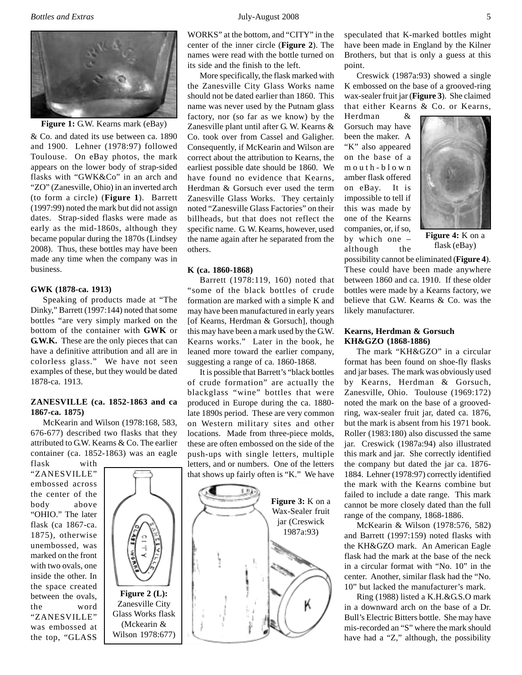

**Figure 1:** G.W. Kearns mark (eBay)

& Co. and dated its use between ca. 1890 and 1900. Lehner (1978:97) followed Toulouse. On eBay photos, the mark appears on the lower body of strap-sided flasks with "GWK&Co" in an arch and "ZO" (Zanesville, Ohio) in an inverted arch (to form a circle) (**Figure 1**). Barrett (1997:99) noted the mark but did not assign dates. Strap-sided flasks were made as early as the mid-1860s, although they became popular during the 1870s (Lindsey 2008). Thus, these bottles may have been made any time when the company was in business.

#### **GWK (1878-ca. 1913)**

Speaking of products made at "The Dinky," Barrett (1997:144) noted that some bottles "are very simply marked on the bottom of the container with **GWK** or **G.W.K.** These are the only pieces that can have a definitive attribution and all are in colorless glass." We have not seen examples of these, but they would be dated 1878-ca. 1913.

# **ZANESVILLE (ca. 1852-1863 and ca 1867-ca. 1875)**

McKearin and Wilson (1978:168, 583, 676-677) described two flasks that they attributed to G.W. Kearns & Co. The earlier container (ca. 1852-1863) was an eagle flask with

"ZANESVILLE" embossed across the center of the body above "OHIO." The later flask (ca 1867-ca. 1875), otherwise unembossed, was marked on the front with two ovals, one inside the other. In the space created between the ovals, the word "ZANESVILLE" was embossed at the top, "GLASS



WORKS" at the bottom, and "CITY" in the center of the inner circle (**Figure 2**). The names were read with the bottle turned on its side and the finish to the left.

More specifically, the flask marked with the Zanesville City Glass Works name should not be dated earlier than 1860. This name was never used by the Putnam glass factory, nor (so far as we know) by the Zanesville plant until after G. W. Kearns & Co. took over from Cassel and Galigher. Consequently, if McKearin and Wilson are correct about the attribution to Kearns, the earliest possible date should be 1860. We have found no evidence that Kearns, Herdman & Gorsuch ever used the term Zanesville Glass Works. They certainly noted "Zanesville Glass Factories" on their billheads, but that does not reflect the specific name. G. W. Kearns, however, used the name again after he separated from the others.

#### **K (ca. 1860-1868)**

Barrett (1978:119, 160) noted that "some of the black bottles of crude formation are marked with a simple K and may have been manufactured in early years [of Kearns, Herdman & Gorsuch], though this may have been a mark used by the G.W. Kearns works." Later in the book, he leaned more toward the earlier company, suggesting a range of ca. 1860-1868.

It is possible that Barrett's "black bottles of crude formation" are actually the blackglass "wine" bottles that were produced in Europe during the ca. 1880 late 1890s period. These are very common on Western military sites and other locations. Made from three-piece molds, these are often embossed on the side of the push-ups with single letters, multiple letters, and or numbers. One of the letters that shows up fairly often is "K." We have



speculated that K-marked bottles might have been made in England by the Kilner Brothers, but that is only a guess at this point.

Creswick (1987a:93) showed a single K embossed on the base of a grooved-ring wax-sealer fruit jar (**Figure 3**). She claimed that either Kearns & Co. or Kearns,

Herdman & Gorsuch may have been the maker. A "K" also appeared on the base of a mouth-blown amber flask offered on eBay. It is impossible to tell if this was made by one of the Kearns companies, or, if so, by which one – although the



**Figure 4:** K on a flask (eBay)

possibility cannot be eliminated (**Figure 4**). These could have been made anywhere between 1860 and ca. 1910. If these older bottles were made by a Kearns factory, we believe that G.W. Kearns & Co. was the likely manufacturer.

#### **Kearns, Herdman & Gorsuch KH&GZO (1868-1886)**

The mark "KH&GZO" in a circular format has been found on shoe-fly flasks and jar bases. The mark was obviously used by Kearns, Herdman & Gorsuch, Zanesville, Ohio. Toulouse (1969:172) noted the mark on the base of a groovedring, wax-sealer fruit jar, dated ca. 1876, but the mark is absent from his 1971 book. Roller (1983:180) also discussed the same jar. Creswick (1987a:94) also illustrated this mark and jar. She correctly identified the company but dated the jar ca. 1876- 1884. Lehner (1978:97) correctly identified the mark with the Kearns combine but failed to include a date range. This mark cannot be more closely dated than the full range of the company, 1868-1886.

McKearin & Wilson (1978:576, 582) and Barrett (1997:159) noted flasks with the KH&GZO mark. An American Eagle flask had the mark at the base of the neck in a circular format with "No. 10" in the center. Another, similar flask had the "No. 10" but lacked the manufacturer's mark.

Ring (1988) listed a K.H.&G.S.O mark in a downward arch on the base of a Dr. Bull's Electric Bitters bottle. She may have mis-recorded an "S" where the mark should have had a "Z," although, the possibility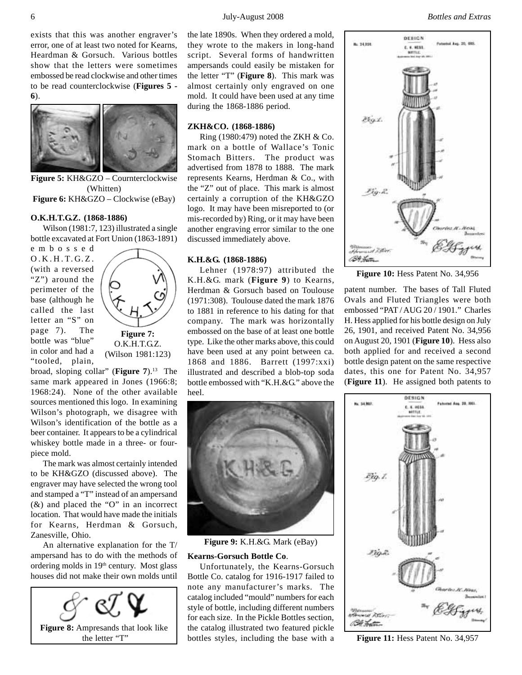#### 6 July-August 2008 *Bottles and Extras*

exists that this was another engraver's error, one of at least two noted for Kearns, Heardman & Gorsuch. Various bottles show that the letters were sometimes embossed be read clockwise and other times to be read counterclockwise (**Figures 5 - 6**).



**Figure 5:** KH&GZO – Cournterclockwise (Whitten) **Figure 6:** KH&GZO – Clockwise (eBay)

#### **O.K.H.T.G.Z. (1868-1886)**

Wilson (1981:7, 123) illustrated a single bottle excavated at Fort Union (1863-1891)

embossed O.K.H.T.G.Z. (with a reversed "Z") around the perimeter of the base (although he called the last letter an "S" on page 7). The bottle was "blue" in color and had a "tooled, plain,

**Figure 7:** O.K.H.T.G.Z. (Wilson 1981:123)

broad, sloping collar" (**Figure 7**).13 The same mark appeared in Jones (1966:8; 1968:24). None of the other available sources mentioned this logo. In examining Wilson's photograph, we disagree with Wilson's identification of the bottle as a beer container. It appears to be a cylindrical whiskey bottle made in a three- or fourpiece mold.

The mark was almost certainly intended to be KH&GZO (discussed above). The engraver may have selected the wrong tool and stamped a "T" instead of an ampersand (&) and placed the "O" in an incorrect location. That would have made the initials for Kearns, Herdman & Gorsuch, Zanesville, Ohio.

An alternative explanation for the T/ ampersand has to do with the methods of ordering molds in 19<sup>th</sup> century. Most glass houses did not make their own molds until



the late 1890s. When they ordered a mold, they wrote to the makers in long-hand script. Several forms of handwritten ampersands could easily be mistaken for the letter "T" (**Figure 8**). This mark was almost certainly only engraved on one mold. It could have been used at any time during the 1868-1886 period.

# **ZKH&CO. (1868-1886)**

Ring (1980:479) noted the ZKH & Co. mark on a bottle of Wallace's Tonic Stomach Bitters. The product was advertised from 1878 to 1888. The mark represents Kearns, Herdman & Co., with the "Z" out of place. This mark is almost certainly a corruption of the KH&GZO logo. It may have been misreported to (or mis-recorded by) Ring, or it may have been another engraving error similar to the one discussed immediately above.

#### **K.H.&G. (1868-1886)**

Lehner (1978:97) attributed the K.H.&G. mark (**Figure 9**) to Kearns, Herdman & Gorsuch based on Toulouse (1971:308). Toulouse dated the mark 1876 to 1881 in reference to his dating for that company. The mark was horizontally embossed on the base of at least one bottle type. Like the other marks above, this could have been used at any point between ca. 1868 and 1886. Barrett (1997:xxi) illustrated and described a blob-top soda bottle embossed with "K.H.&G." above the heel.



**Figure 9:** K.H.&G. Mark (eBay)

#### **Kearns-Gorsuch Bottle Co**.

Unfortunately, the Kearns-Gorsuch Bottle Co. catalog for 1916-1917 failed to note any manufacturer's marks. The catalog included "mould" numbers for each style of bottle, including different numbers for each size. In the Pickle Bottles section, the catalog illustrated two featured pickle bottles styles, including the base with a



**Figure 10:** Hess Patent No. 34,956

patent number. The bases of Tall Fluted Ovals and Fluted Triangles were both embossed "PAT / AUG 20 / 1901." Charles H. Hess applied for his bottle design on July 26, 1901, and received Patent No. 34,956 on August 20, 1901 (**Figure 10**). Hess also both applied for and received a second bottle design patent on the same respective dates, this one for Patent No. 34,957 (**Figure 11**). He assigned both patents to



**Figure 11:** Hess Patent No. 34,957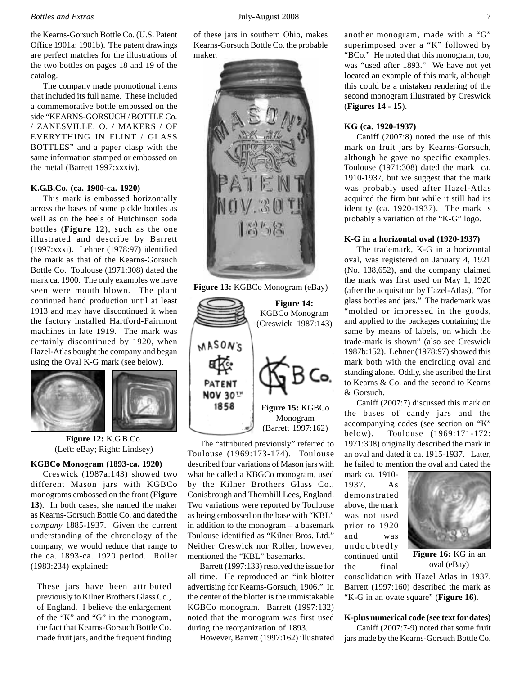#### *Bottles and Extras* July-August 2008 7

the Kearns-Gorsuch Bottle Co. (U.S. Patent Office 1901a; 1901b). The patent drawings are perfect matches for the illustrations of the two bottles on pages 18 and 19 of the catalog.

The company made promotional items that included its full name. These included a commemorative bottle embossed on the side "KEARNS-GORSUCH / BOTTLE Co. / ZANESVILLE, O. / MAKERS / OF EVERYTHING IN FLINT / GLASS BOTTLES" and a paper clasp with the same information stamped or embossed on the metal (Barrett 1997:xxxiv).

#### **K.G.B.Co. (ca. 1900-ca. 1920)**

This mark is embossed horizontally across the bases of some pickle bottles as well as on the heels of Hutchinson soda bottles (**Figure 12**), such as the one illustrated and describe by Barrett (1997:xxxi). Lehner (1978:97) identified the mark as that of the Kearns-Gorsuch Bottle Co. Toulouse (1971:308) dated the mark ca. 1900. The only examples we have seen were mouth blown. The plant continued hand production until at least 1913 and may have discontinued it when the factory installed Hartford-Fairmont machines in late 1919. The mark was certainly discontinued by 1920, when Hazel-Atlas bought the company and began using the Oval K-G mark (see below).



**Figure 12:** K.G.B.Co. (Left: eBay; Right: Lindsey)

#### **KGBCo Monogram (1893-ca. 1920)**

Creswick (1987a:143) showed two different Mason jars with KGBCo monograms embossed on the front (**Figure 13**). In both cases, she named the maker as Kearns-Gorsuch Bottle Co. and dated the *company* 1885-1937. Given the current understanding of the chronology of the company, we would reduce that range to the ca. 1893-ca. 1920 period. Roller (1983:234) explained:

These jars have been attributed previously to Kilner Brothers Glass Co., of England. I believe the enlargement of the "K" and "G" in the monogram, the fact that Kearns-Gorsuch Bottle Co. made fruit jars, and the frequent finding

of these jars in southern Ohio, makes Kearns-Gorsuch Bottle Co. the probable maker.



**Figure 14:** KGBCo Monogram (Creswick 1987:143) MASON'S Co. PATENT NOV 30TH 1858 **Figure 15:** KGBCo Monogram (Barrett 1997:162)

The "attributed previously" referred to Toulouse (1969:173-174). Toulouse described four variations of Mason jars with what he called a KBGCo monogram, used by the Kilner Brothers Glass Co., Conisbrough and Thornhill Lees, England. Two variations were reported by Toulouse as being embossed on the base with "KBL" in addition to the monogram – a basemark Toulouse identified as "Kilner Bros. Ltd." Neither Creswick nor Roller, however, mentioned the "KBL" basemarks.

Barrett (1997:133) resolved the issue for all time. He reproduced an "ink blotter advertising for Kearns-Gorsuch, 1906." In the center of the blotter is the unmistakable KGBCo monogram. Barrett (1997:132) noted that the monogram was first used during the reorganization of 1893.

However, Barrett (1997:162) illustrated

another monogram, made with a "G" superimposed over a "K" followed by "BCo." He noted that this monogram, too, was "used after 1893." We have not yet located an example of this mark, although this could be a mistaken rendering of the second monogram illustrated by Creswick (**Figures 14 - 15**).

#### **KG (ca. 1920-1937)**

Caniff (2007:8) noted the use of this mark on fruit jars by Kearns-Gorsuch, although he gave no specific examples. Toulouse (1971:308) dated the mark ca. 1910-1937, but we suggest that the mark was probably used after Hazel-Atlas acquired the firm but while it still had its identity (ca. 1920-1937). The mark is probably a variation of the "K-G" logo.

## **K-G in a horizontal oval (1920-1937)**

The trademark, K-G in a horizontal oval, was registered on January 4, 1921 (No. 138,652), and the company claimed the mark was first used on May 1, 1920 (after the acquisition by Hazel-Atlas), "for glass bottles and jars." The trademark was "molded or impressed in the goods, and applied to the packages containing the same by means of labels, on which the trade-mark is shown" (also see Creswick 1987b:152). Lehner (1978:97) showed this mark both with the encircling oval and standing alone. Oddly, she ascribed the first to Kearns & Co. and the second to Kearns & Gorsuch.

Caniff (2007:7) discussed this mark on the bases of candy jars and the accompanying codes (see section on "K" below). Toulouse (1969:171-172; 1971:308) originally described the mark in an oval and dated it ca. 1915-1937. Later, he failed to mention the oval and dated the

mark ca. 1910- 1937. As demonstrated above, the mark was not used prior to 1920 and was undoubtedly continued until the final



**Figure 16:** KG in an oval (eBay)

consolidation with Hazel Atlas in 1937. Barrett (1997:160) described the mark as "K-G in an ovate square" (**Figure 16**).

# **K-plus numerical code (see text for dates)**

Caniff (2007:7-9) noted that some fruit jars made by the Kearns-Gorsuch Bottle Co.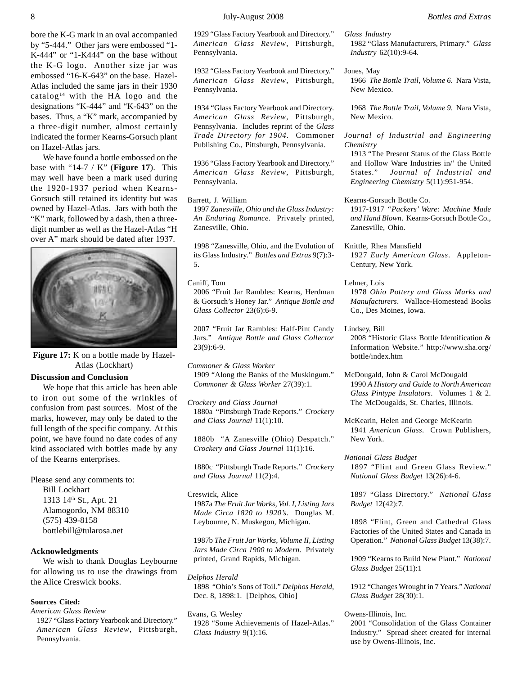bore the K-G mark in an oval accompanied by "5-444." Other jars were embossed "1- K-444" or "1-K444" on the base without the K-G logo. Another size jar was embossed "16-K-643" on the base. Hazel-Atlas included the same jars in their 1930 catalog<sup>14</sup> with the HA logo and the designations "K-444" and "K-643" on the bases. Thus, a "K" mark, accompanied by a three-digit number, almost certainly indicated the former Kearns-Gorsuch plant on Hazel-Atlas jars.

We have found a bottle embossed on the base with "14-7 / K" (**Figure 17**). This may well have been a mark used during the 1920-1937 period when Kearns-Gorsuch still retained its identity but was owned by Hazel-Atlas. Jars with both the "K" mark, followed by a dash, then a threedigit number as well as the Hazel-Atlas "H over A" mark should be dated after 1937.



**Figure 17:** K on a bottle made by Hazel-Atlas (Lockhart)

#### **Discussion and Conclusion**

We hope that this article has been able to iron out some of the wrinkles of confusion from past sources. Most of the marks, however, may only be dated to the full length of the specific company. At this point, we have found no date codes of any kind associated with bottles made by any of the Kearns enterprises.

Please send any comments to: Bill Lockhart 1313 14<sup>th</sup> St., Apt. 21 Alamogordo, NM 88310 (575) 439-8158 bottlebill@tularosa.net

# **Acknowledgments**

We wish to thank Douglas Leybourne for allowing us to use the drawings from the Alice Creswick books.

# **Sources Cited:**

*American Glass Review* 1927 "Glass Factory Yearbook and Directory." *American Glass Review*, Pittsburgh, Pennsylvania.

1929 "Glass Factory Yearbook and Directory." *American Glass Review*, Pittsburgh, Pennsylvania.

1932 "Glass Factory Yearbook and Directory." *American Glass Review*, Pittsburgh, Pennsylvania.

1934 "Glass Factory Yearbook and Directory. *American Glass Review*, Pittsburgh, Pennsylvania. Includes reprint of the *Glass Trade Directory for 1904*. Commoner Publishing Co., Pittsburgh, Pennsylvania.

1936 "Glass Factory Yearbook and Directory." *American Glass Review*, Pittsburgh, Pennsylvania.

Barrett, J. William

1997 *Zanesville, Ohio and the Glass Industry: An Enduring Romance*. Privately printed, Zanesville, Ohio.

1998 "Zanesville, Ohio, and the Evolution of its Glass Industry." *Bottles and Extras* 9(7):3- 5.

Caniff, Tom

2006 "Fruit Jar Rambles: Kearns, Herdman & Gorsuch's Honey Jar." *Antique Bottle and Glass Collector* 23(6):6-9.

2007 "Fruit Jar Rambles: Half-Pint Candy Jars." *Antique Bottle and Glass Collector* 23(9):6-9.

*Commoner & Glass Worker* 1909 "Along the Banks of the Muskingum." *Commoner & Glass Worker* 27(39):1.

*Crockery and Glass Journal* 1880a "Pittsburgh Trade Reports." *Crockery and Glass Journal* 11(1):10.

1880b "A Zanesville (Ohio) Despatch." *Crockery and Glass Journal* 11(1):16.

1880c "Pittsburgh Trade Reports." *Crockery and Glass Journal* 11(2):4.

Creswick, Alice 1987a *The Fruit Jar Works, Vol. I, Listing Jars Made Circa 1820 to 1920's*. Douglas M. Leybourne, N. Muskegon, Michigan.

1987b *The Fruit Jar Works, Volume II, Listing Jars Made Circa 1900 to Modern*. Privately printed, Grand Rapids, Michigan.

*Delphos Herald* 1898 "Ohio's Sons of Toil." *Delphos Herald*, Dec. 8, 1898:1. [Delphos, Ohio]

Evans, G. Wesley 1928 "Some Achievements of Hazel-Atlas." *Glass Industry* 9(1):16.

*Glass Industry* 1982 "Glass Manufacturers, Primary." *Glass Industry* 62(10):9-64.

Jones, May

1966 *The Bottle Trail, Volume 6*. Nara Vista, New Mexico.

1968 *The Bottle Trail, Volume 9*. Nara Vista, New Mexico.

*Journal of Industrial and Engineering Chemistry*

1913 "The Present Status of the Glass Bottle and Hollow Ware Industries in/' the United States." *Journal of Industrial and Engineering Chemistry* 5(11):951-954.

Kearns-Gorsuch Bottle Co. 1917-1917 *"Packers' Ware: Machine Made and Hand Blown*. Kearns-Gorsuch Bottle Co., Zanesville, Ohio.

Knittle, Rhea Mansfield 1927 *Early American Glass*. Appleton-Century, New York.

- Lehner, Lois 1978 *Ohio Pottery and Glass Marks and Manufacturers*. Wallace-Homestead Books Co., Des Moines, Iowa.
- Lindsey, Bill

2008 "Historic Glass Bottle Identification & Information Website." http://www.sha.org/ bottle/index.htm

McDougald, John & Carol McDougald 1990 *A History and Guide to North American Glass Pintype Insulators*. Volumes 1 & 2. The McDougalds, St. Charles, Illinois.

McKearin, Helen and George McKearin 1941 *American Glass*. Crown Publishers, New York.

*National Glass Budget* 1897 "Flint and Green Glass Review." *National Glass Budget* 13(26):4-6.

1897 "Glass Directory." *National Glass Budget* 12(42):7.

1898 "Flint, Green and Cathedral Glass Factories of the United States and Canada in Operation." *National Glass Budget* 13(38):7.

1909 "Kearns to Build New Plant." *National Glass Budget* 25(11):1

1912 "Changes Wrought in 7 Years." *National Glass Budget* 28(30):1.

#### Owens-Illinois, Inc.

2001 "Consolidation of the Glass Container Industry." Spread sheet created for internal use by Owens-Illinois, Inc.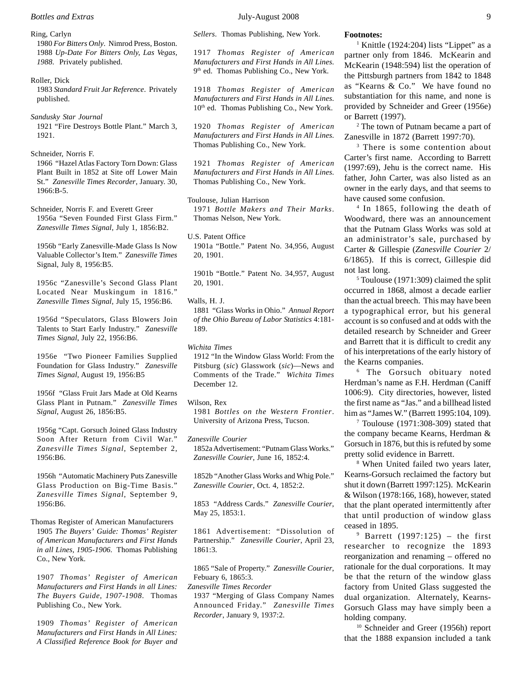Ring, Carlyn

1980 *For Bitters Only*. Nimrod Press, Boston. 1988 *Up-Date For Bitters Only, Las Vegas, 1988*. Privately published.

Roller, Dick 1983 *Standard Fruit Jar Reference*. Privately published.

*Sandusky Star Journal* 1921 "Fire Destroys Bottle Plant." March 3, 1921.

Schneider, Norris F.

1966 "Hazel Atlas Factory Torn Down: Glass Plant Built in 1852 at Site off Lower Main St." *Zanesville Times Recorder*, January. 30, 1966:B-5.

Schneider, Norris F. and Everett Greer 1956a "Seven Founded First Glass Firm." *Zanesville Times Signal*, July 1, 1856:B2.

1956b "Early Zanesville-Made Glass Is Now Valuable Collector's Item." *Zanesville Times* Signal, July 8, 1956:B5.

1956c "Zanesville's Second Glass Plant Located Near Muskingum in 1816." *Zanesville Times Signal*, July 15, 1956:B6.

1956d "Speculators, Glass Blowers Join Talents to Start Early Industry." *Zanesville Times Signal*, July 22, 1956:B6.

1956e "Two Pioneer Families Supplied Foundation for Glass Industry." *Zanesville Times Signal*, August 19, 1956:B5

1956f "Glass Fruit Jars Made at Old Kearns Glass Plant in Putnam." *Zanesville Times Signal*, August 26, 1856:B5.

1956g "Capt. Gorsuch Joined Glass Industry Soon After Return from Civil War." *Zanesville Times Signal*, September 2, 1956:B6.

1956h "Automatic Machinery Puts Zanesville Glass Production on Big-Time Basis." *Zanesville Times Signal*, September 9, 1956:B6.

Thomas Register of American Manufacturers 1905 *The Buyers' Guide: Thomas' Register of American Manufacturers and First Hands in all Lines, 1905-1906*. Thomas Publishing Co., New York.

1907 *Thomas' Register of American Manufacturers and First Hands in all Lines: The Buyers Guide, 1907-1908*. Thomas Publishing Co., New York.

1909 *Thomas' Register of American Manufacturers and First Hands in All Lines: A Classified Reference Book for Buyer and* *Sellers*. Thomas Publishing, New York.

1917 *Thomas Register of American Manufacturers and First Hands in All Lines*. 9<sup>th</sup> ed. Thomas Publishing Co., New York.

1918 *Thomas Register of American Manufacturers and First Hands in All Lines*. 10<sup>th</sup> ed. Thomas Publishing Co., New York.

1920 *Thomas Register of American Manufacturers and First Hands in All Lines*. Thomas Publishing Co., New York.

1921 *Thomas Register of American Manufacturers and First Hands in All Lines*. Thomas Publishing Co., New York.

Toulouse, Julian Harrison 1971 *Bottle Makers and Their Marks*. Thomas Nelson, New York.

U.S. Patent Office 1901a "Bottle." Patent No. 34,956, August 20, 1901.

1901b "Bottle." Patent No. 34,957, August 20, 1901.

#### Walls, H. J.

1881 "Glass Works in Ohio." *Annual Report of the Ohio Bureau of Labor Statistics* 4:181- 189.

*Wichita Times*

1912 "In the Window Glass World: From the Pitsburg (*sic*) Glasswork (*sic*)—News and Comments of the Trade." *Wichita Times* December 12.

#### Wilson, Rex

1981 *Bottles on the Western Frontier*. University of Arizona Press, Tucson.

*Zanesville Courier* 1852a Advertisement: "Putnam Glass Works." *Zanesville Courier*, June 16, 1852:4.

1852b "Another Glass Works and Whig Pole." *Zanesville Courier*, Oct. 4, 1852:2.

1853 "Address Cards." *Zanesville Courier*, May 25, 1853:1.

1861 Advertisement: "Dissolution of Partnership." *Zanesville Courier*, April 23, 1861:3.

1865 "Sale of Property." *Zanesville Courier*, Febuary 6, 1865:3.

*Zanesville Times Recorder*

1937 "Merging of Glass Company Names Announced Friday." *Zanesville Times Recorder*, January 9, 1937:2.

#### **Footnotes:**

<sup>1</sup> Knittle (1924:204) lists "Lippet" as a partner only from 1846. McKearin and McKearin (1948:594) list the operation of the Pittsburgh partners from 1842 to 1848 as "Kearns & Co." We have found no substantiation for this name, and none is provided by Schneider and Greer (1956e) or Barrett (1997).

2 The town of Putnam became a part of Zanesville in 1872 (Barrett 1997:70).

<sup>3</sup> There is some contention about Carter's first name. According to Barrett (1997:69), Jehu is the correct name. His father, John Carter, was also listed as an owner in the early days, and that seems to have caused some confusion.

4 In 1865, following the death of Woodward, there was an announcement that the Putnam Glass Works was sold at an administrator's sale, purchased by Carter & Gillespie (*Zanesville Courier* 2/ 6/1865). If this is correct, Gillespie did not last long.

5 Toulouse (1971:309) claimed the split occurred in 1868, almost a decade earlier than the actual breech. This may have been a typographical error, but his general account is so confused and at odds with the detailed research by Schneider and Greer and Barrett that it is difficult to credit any of his interpretations of the early history of the Kearns companies.

6 The Gorsuch obituary noted Herdman's name as F.H. Herdman (Caniff 1006:9). City directories, however, listed the first name as "Jas." and a billhead listed him as "James W." (Barrett 1995:104, 109).

7 Toulouse (1971:308-309) stated that the company became Kearns, Herdman & Gorsuch in 1876, but this is refuted by some pretty solid evidence in Barrett.

8 When United failed two years later, Kearns-Gorsuch reclaimed the factory but shut it down (Barrett 1997:125). McKearin & Wilson (1978:166, 168), however, stated that the plant operated intermittently after that until production of window glass ceased in 1895.

9 Barrett (1997:125) – the first researcher to recognize the 1893 reorganization and renaming – offered no rationale for the dual corporations. It may be that the return of the window glass factory from United Glass suggested the dual organization. Alternately, Kearns-Gorsuch Glass may have simply been a holding company.

<sup>10</sup> Schneider and Greer (1956h) report that the 1888 expansion included a tank